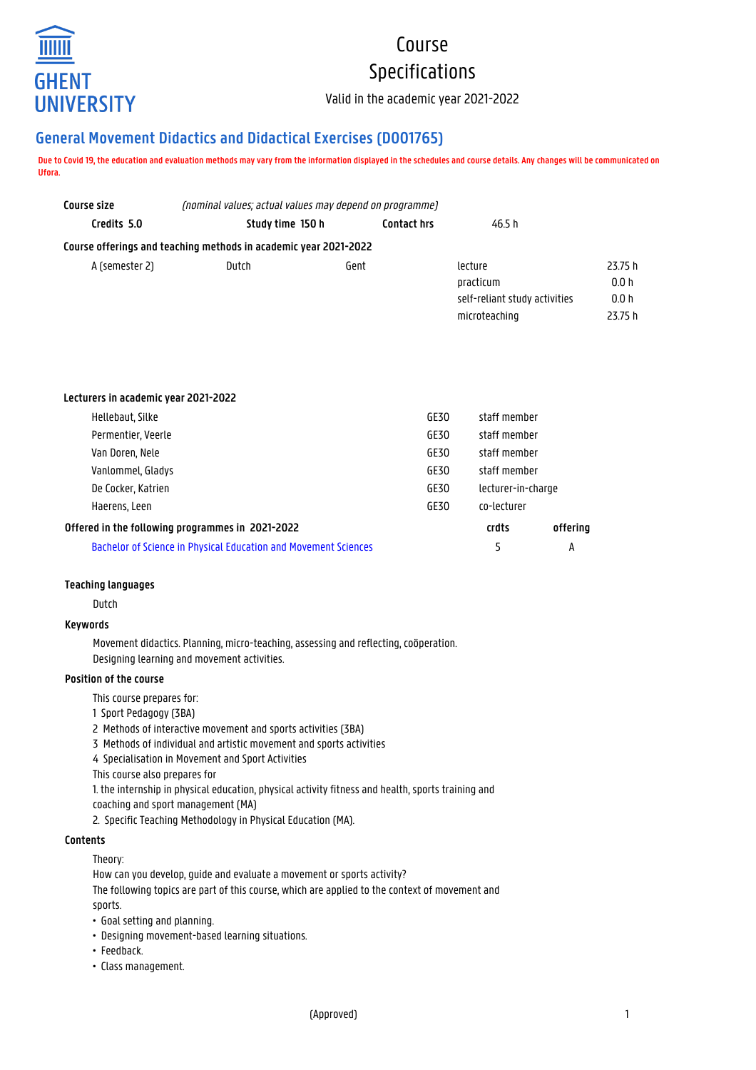

# Course Specifications

Valid in the academic year 2021-2022

# **General Movement Didactics and Didactical Exercises (D001765)**

**Due to Covid 19, the education and evaluation methods may vary from the information displayed in the schedules and course details. Any changes will be communicated on Ufora.**

| Course size    | (nominal values; actual values may depend on programme)          |                    |                                                                        |                                    |  |
|----------------|------------------------------------------------------------------|--------------------|------------------------------------------------------------------------|------------------------------------|--|
| Credits 5.0    | Study time 150 h                                                 | <b>Contact hrs</b> | 46.5 h                                                                 |                                    |  |
|                | Course offerings and teaching methods in academic year 2021-2022 |                    |                                                                        |                                    |  |
| A (semester 2) | Dutch                                                            | Gent               | lecture<br>practicum<br>self-reliant study activities<br>microteaching | 23.75 h<br>0.0h<br>0.0 h<br>23.75h |  |

| Lecturers in academic year 2021-2022                            |      |                    |          |
|-----------------------------------------------------------------|------|--------------------|----------|
| Hellebaut, Silke                                                | GE30 | staff member       |          |
| Permentier, Veerle                                              | GE30 | staff member       |          |
| Van Doren, Nele                                                 | GE30 | staff member       |          |
| Vanlommel, Gladys                                               | GE30 | staff member       |          |
| De Cocker, Katrien                                              | GE30 | lecturer-in-charge |          |
| Haerens, Leen                                                   | GE30 | co-lecturer        |          |
| Offered in the following programmes in 2021-2022                |      |                    | offering |
| Bachelor of Science in Physical Education and Movement Sciences |      |                    | А        |

#### **Teaching languages**

Dutch

#### **Keywords**

Movement didactics. Planning, micro-teaching, assessing and reflecting, coöperation. Designing learning and movement activities.

#### **Position of the course**

This course prepares for:

- 1 Sport Pedagogy (3BA)
- 2 Methods of interactive movement and sports activities (3BA)
- 3 Methods of individual and artistic movement and sports activities
- 4 Specialisation in Movement and Sport Activities

This course also prepares for

- 1. the internship in physical education, physical activity fitness and health, sports training and
- coaching and sport management (MA)
- 2. Specific Teaching Methodology in Physical Education (MA).

#### **Contents**

Theory:

How can you develop, quide and evaluate a movement or sports activity?

The following topics are part of this course, which are applied to the context of movement and sports.

- Goal setting and planning.
- Designing movement-based learning situations.
- Feedback.
- Class management.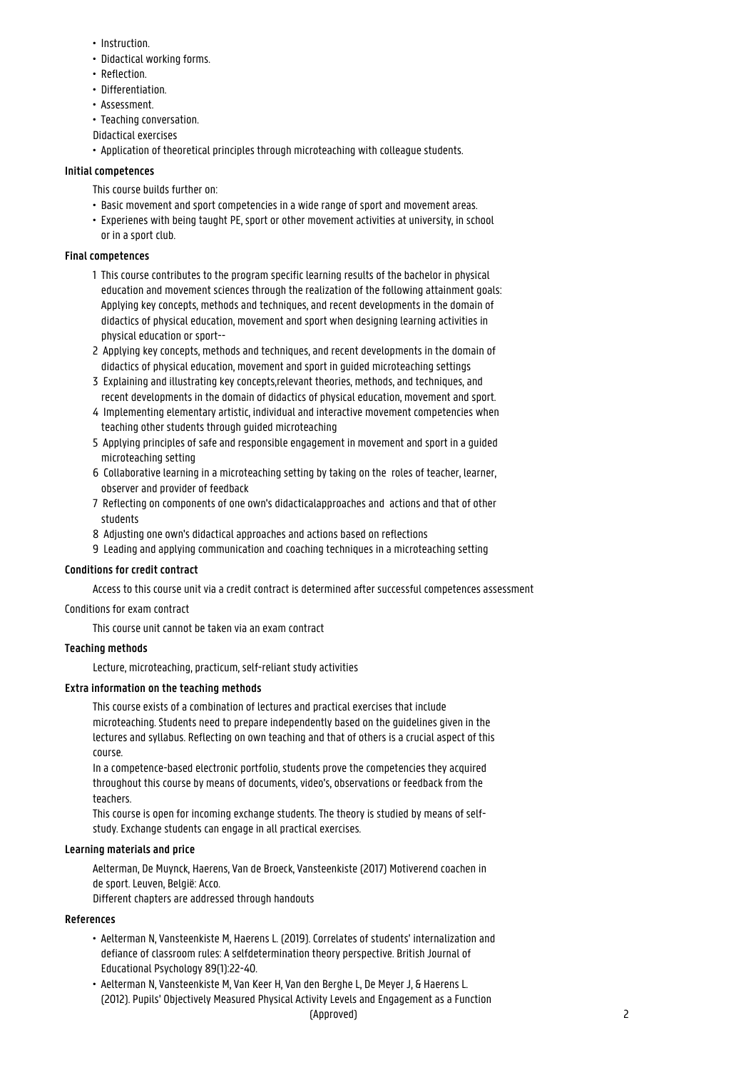- Instruction.
- Didactical working forms.
- Reflection.
- Differentiation.
- Assessment.
- Teaching conversation.
- Didactical exercises
- Application of theoretical principles through microteaching with colleague students.

#### **Initial competences**

This course builds further on:

- Basic movement and sport competencies in a wide range of sport and movement areas.
- Experienes with being taught PE, sport or other movement activities at university, in school or in a sport club.

#### **Final competences**

- 1 This course contributes to the program specific learning results of the bachelor in physical education and movement sciences through the realization of the following attainment goals: 1 Applying key concepts, methods and techniques, and recent developments in the domain of didactics of physical education, movement and sport when designing learning activities in physical education or sport--
- 2 Applying key concepts, methods and techniques, and recent developments in the domain of didactics of physical education, movement and sport in guided microteaching settings
- 3 Explaining and illustrating key concepts,relevant theories, methods, and techniques, and 1 recent developments in the domain of didactics of physical education, movement and sport.
- 4 Implementing elementary artistic, individual and interactive movement competencies when teaching other students through guided microteaching
- 5 Applying principles of safe and responsible engagement in movement and sport in a guided microteaching setting
- 6 Collaborative learning in a microteaching setting by taking on the roles of teacher, learner, observer and provider of feedback
- 7 Reflecting on components of one own's didacticalapproaches and actions and that of other students
- 8 Adjusting one own's didactical approaches and actions based on reflections
- 9 Leading and applying communication and coaching techniques in a microteaching setting

#### **Conditions for credit contract**

Access to this course unit via a credit contract is determined after successful competences assessment

#### Conditions for exam contract

This course unit cannot be taken via an exam contract

#### **Teaching methods**

Lecture, microteaching, practicum, self-reliant study activities

#### **Extra information on the teaching methods**

This course exists of a combination of lectures and practical exercises that include microteaching. Students need to prepare independently based on the guidelines given in the lectures and syllabus. Reflecting on own teaching and that of others is a crucial aspect of this course.

In a competence-based electronic portfolio, students prove the competencies they acquired throughout this course by means of documents, video's, observations or feedback from the teachers.

This course is open for incoming exchange students. The theory is studied by means of selfstudy. Exchange students can engage in all practical exercises.

#### **Learning materials and price**

Aelterman, De Muynck, Haerens, Van de Broeck, Vansteenkiste (2017) Motiverend coachen in de sport. Leuven, België: Acco.

Different chapters are addressed through handouts

# **References**

- Aelterman N, Vansteenkiste M, Haerens L. (2019). Correlates of students' internalization and • defiance of classroom rules: A selfdetermination theory perspective. British Journal of • Educational Psychology 89(1):22-40.
- Aelterman N, Vansteenkiste M, Van Keer H, Van den Berghe L, De Meyer J, & Haerens L. • (2012). Pupils' Objectively Measured Physical Activity Levels and Engagement as a Function (Approved) 2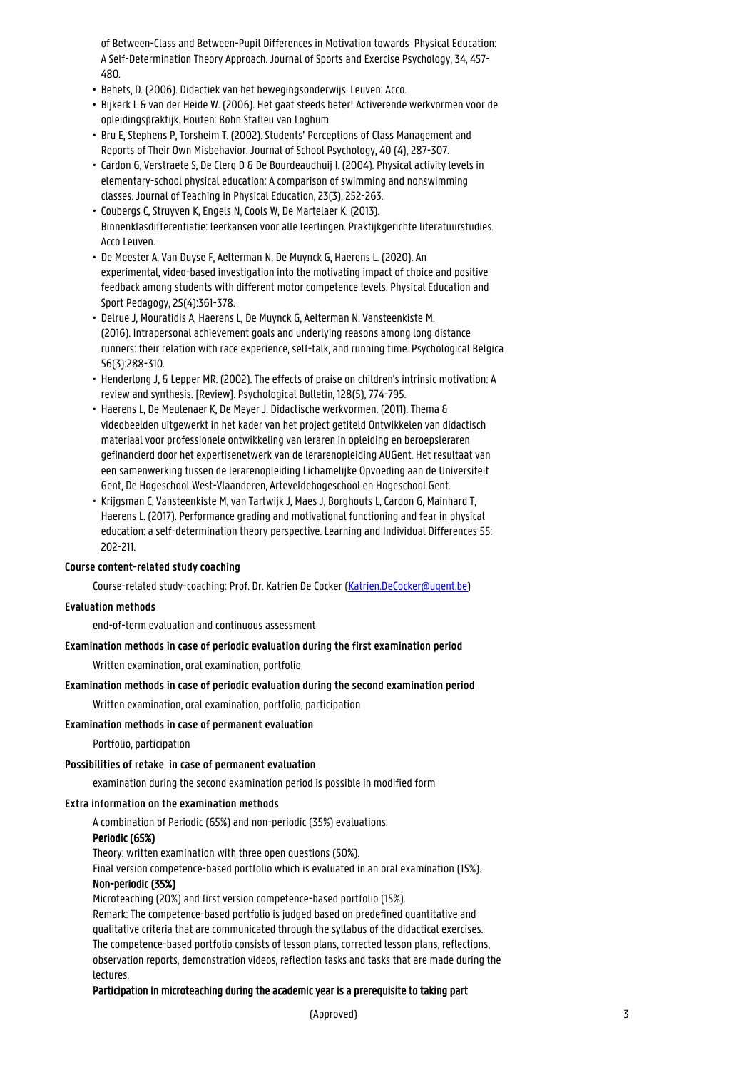• of Between-Class and Between-Pupil Differences in Motivation towards Physical Education: • A Self-Determination Theory Approach. Journal of Sports and Exercise Psychology, 34, 457- • 480.

- Behets, D. (2006). Didactiek van het bewegingsonderwijs. Leuven: Acco.
- Bijkerk L & van der Heide W. (2006). Het gaat steeds beter! Activerende werkvormen voor de • opleidingspraktijk. Houten: Bohn Stafleu van Loghum.
- Bru E, Stephens P, Torsheim T. (2002). Students' Perceptions of Class Management and • Reports of Their Own Misbehavior. Journal of School Psychology, 40 (4), 287-307.
- Cardon G, Verstraete S, De Clerq D & De Bourdeaudhuij I. (2004). Physical activity levels in • elementary-school physical education: A comparison of swimming and nonswimming • classes. Journal of Teaching in Physical Education, 23(3), 252-263.
- Coubergs C, Struyven K, Engels N, Cools W, De Martelaer K. (2013). • Binnenklasdifferentiatie: leerkansen voor alle leerlingen. Praktijkgerichte literatuurstudies. Acco Leuven.
- De Meester A, Van Duyse F, Aelterman N, De Muynck G, Haerens L. (2020). An • experimental, video-based investigation into the motivating impact of choice and positive • feedback among students with different motor competence levels. Physical Education and • Sport Pedagogy, 25(4):361-378.
- Delrue J, Mouratidis A, Haerens L, De Muynck G, Aelterman N, Vansteenkiste M. • (2016). Intrapersonal achievement goals and underlying reasons among long distance • runners: their relation with race experience, self-talk, and running time. Psychological Belgica • 56(3):288-310.
- Henderlong J, & Lepper MR. (2002). The effects of praise on children's intrinsic motivation: A • review and synthesis. [Review]. Psychological Bulletin, 128(5), 774-795.
- Haerens L, De Meulenaer K, De Meyer J. Didactische werkvormen. (2011). Thema & • videobeelden uitgewerkt in het kader van het project getiteld Ontwikkelen van didactisch • materiaal voor professionele ontwikkeling van leraren in opleiding en beroepsleraren • gefinancierd door het expertisenetwerk van de lerarenopleiding AUGent. Het resultaat van • een samenwerking tussen de lerarenopleiding Lichamelijke Opvoeding aan de Universiteit • Gent, De Hogeschool West-Vlaanderen, Arteveldehogeschool en Hogeschool Gent.
- Krijgsman C, Vansteenkiste M, van Tartwijk J, Maes J, Borghouts L, Cardon G, Mainhard T, • Haerens L. (2017). Performance grading and motivational functioning and fear in physical education: a self-determination theory perspective. Learning and Individual Differences 55: • 202-211.

#### **Course content-related study coaching**

Course-related study-coaching: Prof. Dr. Katrien De Cocker [\(Katrien.DeCocker@ugent.be\)](mailto:Katrien.DeCocker@ugent.be)

#### **Evaluation methods**

end-of-term evaluation and continuous assessment

## **Examination methods in case of periodic evaluation during the first examination period**

Written examination, oral examination, portfolio

#### **Examination methods in case of periodic evaluation during the second examination period**

Written examination, oral examination, portfolio, participation

#### **Examination methods in case of permanent evaluation**

Portfolio, participation

#### **Possibilities of retake in case of permanent evaluation**

examination during the second examination period is possible in modified form

#### **Extra information on the examination methods**

A combination of Periodic (65%) and non-periodic (35%) evaluations.

## Periodic (65%)

Theory: written examination with three open questions (50%).

Final version competence-based portfolio which is evaluated in an oral examination (15%).

# Non-periodic (35%)

Microteaching (20%) and first version competence-based portfolio (15%). Remark: The competence-based portfolio is judged based on predefined quantitative and qualitative criteria that are communicated through the syllabus of the didactical exercises. The competence-based portfolio consists of lesson plans, corrected lesson plans, reflections, observation reports, demonstration videos, reflection tasks and tasks that are made during the lectures.

#### Participation in microteaching during the academic year is a prerequisite to taking part